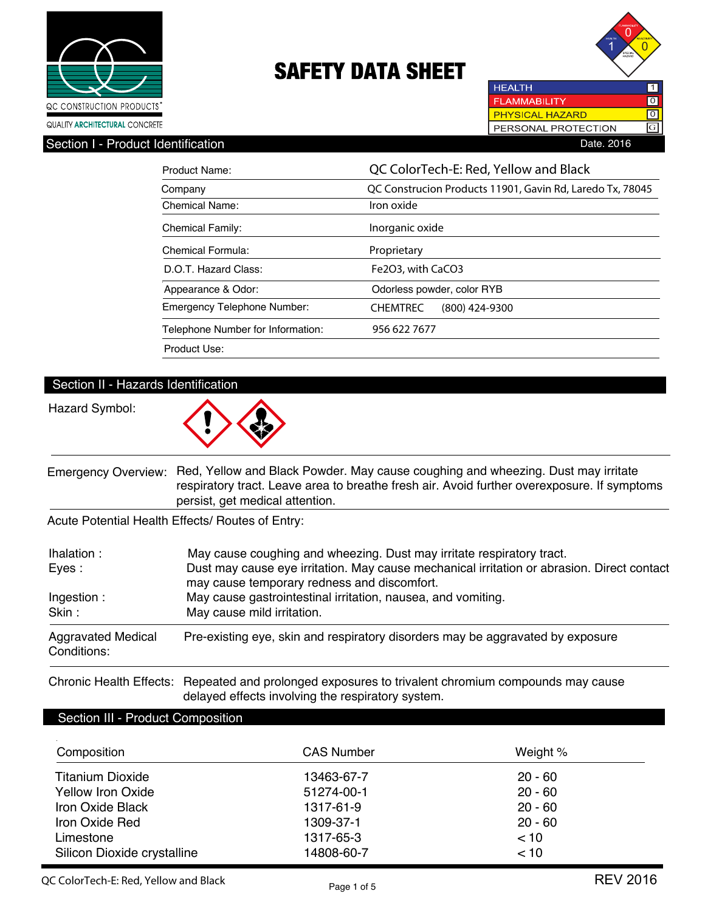



 $\overline{\text{o}}$ G

PERSONAL PROTECTION

**HEALTH** 

**PHYSICAL HAZARD** 

Section I - Product Identification **Date. 2016** 

| Product Name:                     | QC ColorTech-E: Red, Yellow and Black                     |  |  |
|-----------------------------------|-----------------------------------------------------------|--|--|
| Company                           | QC Construcion Products 11901, Gavin Rd, Laredo Tx, 78045 |  |  |
| Chemical Name:                    | Iron oxide                                                |  |  |
| <b>Chemical Family:</b>           | Inorganic oxide                                           |  |  |
| Chemical Formula:                 | Proprietary                                               |  |  |
| D.O.T. Hazard Class:              | Fe2O3, with CaCO3                                         |  |  |
| Appearance & Odor:                | Odorless powder, color RYB                                |  |  |
| Emergency Telephone Number:       | $(800)$ 424-9300<br><b>CHEMTREC</b>                       |  |  |
| Telephone Number for Information: | 956 622 7677                                              |  |  |
| Product Use:                      |                                                           |  |  |

### Section II - Hazards Identification

Hazard Symbol:



Emergency Overview: Red, Yellow and Black Powder. May cause coughing and wheezing. Dust may irritate respiratory tract. Leave area to breathe fresh air. Avoid further overexposure. If symptoms persist, get medical attention.

Acute Potential Health Effects/ Routes of Entry:

| Ihalation :<br>Eyes:                     | May cause coughing and wheezing. Dust may irritate respiratory tract.<br>Dust may cause eye irritation. May cause mechanical irritation or abrasion. Direct contact<br>may cause temporary redness and discomfort. |
|------------------------------------------|--------------------------------------------------------------------------------------------------------------------------------------------------------------------------------------------------------------------|
| Ingestion:<br>Skin:                      | May cause gastrointestinal irritation, nausea, and vomiting.<br>May cause mild irritation.                                                                                                                         |
| <b>Aggravated Medical</b><br>Conditions: | Pre-existing eye, skin and respiratory disorders may be aggravated by exposure                                                                                                                                     |

Chronic Health Effects: Repeated and prolonged exposures to trivalent chromium compounds may cause delayed effects involving the respiratory system.

### Section III - Product Composition

| Composition                 | <b>CAS Number</b> | Weight %  |
|-----------------------------|-------------------|-----------|
| <b>Titanium Dioxide</b>     | 13463-67-7        | $20 - 60$ |
| <b>Yellow Iron Oxide</b>    | 51274-00-1        | $20 - 60$ |
| <b>Iron Oxide Black</b>     | 1317-61-9         | $20 - 60$ |
| Iron Oxide Red              | 1309-37-1         | $20 - 60$ |
| Limestone                   | 1317-65-3         | < 10      |
| Silicon Dioxide crystalline | 14808-60-7        | < 10      |

**QC ColorTech-E: Red, Yellow and Black**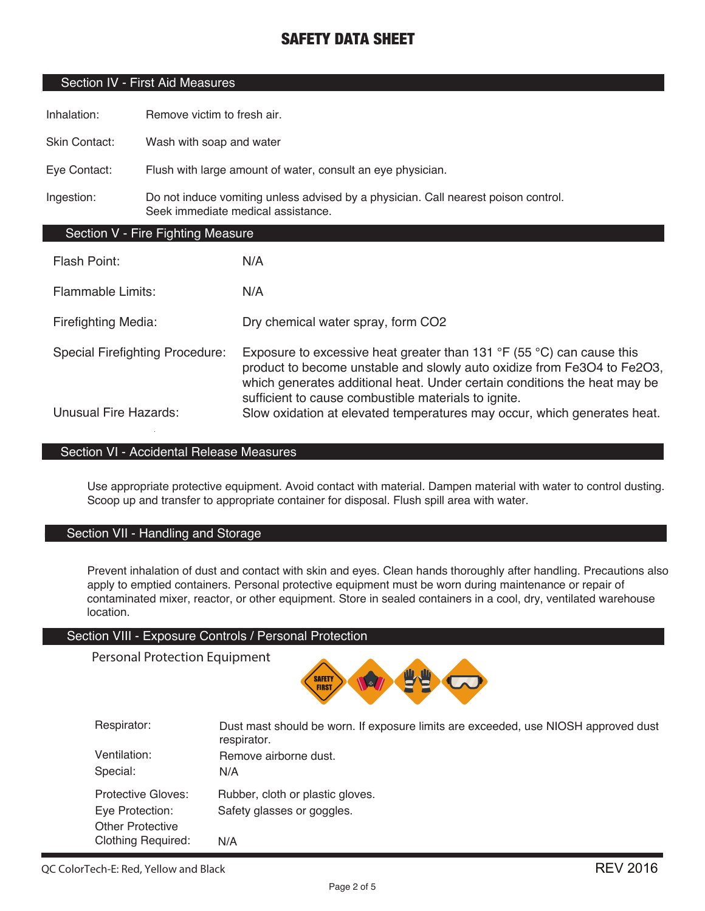### Section IV - First Aid Measures

Inhalation: Remove victim to fresh air.

Skin Contact: Wash with soap and water

Eye Contact: Flush with large amount of water, consult an eye physician.

Ingestion: Do not induce vomiting unless advised by a physician. Call nearest poison control. Seek immediate medical assistance.

### Section V - Fire Fighting Measure

| Flash Point:                           | N/A                                                                                                                                                                                                                                                                                                     |
|----------------------------------------|---------------------------------------------------------------------------------------------------------------------------------------------------------------------------------------------------------------------------------------------------------------------------------------------------------|
| <b>Flammable Limits:</b>               | N/A                                                                                                                                                                                                                                                                                                     |
| Firefighting Media:                    | Dry chemical water spray, form CO2                                                                                                                                                                                                                                                                      |
| <b>Special Firefighting Procedure:</b> | Exposure to excessive heat greater than 131 $\degree$ F (55 $\degree$ C) can cause this<br>product to become unstable and slowly auto oxidize from Fe3O4 to Fe2O3,<br>which generates additional heat. Under certain conditions the heat may be<br>sufficient to cause combustible materials to ignite. |
| <b>Unusual Fire Hazards:</b>           | Slow oxidation at elevated temperatures may occur, which generates heat.                                                                                                                                                                                                                                |

### Section VI - Accidental Release Measures

Use appropriate protective equipment. Avoid contact with material. Dampen material with water to control dusting. Scoop up and transfer to appropriate container for disposal. Flush spill area with water.

### Section VII - Handling and Storage

Prevent inhalation of dust and contact with skin and eyes. Clean hands thoroughly after handling. Precautions also apply to emptied containers. Personal protective equipment must be worn during maintenance or repair of contaminated mixer, reactor, or other equipment. Store in sealed containers in a cool, dry, ventilated warehouse location.

#### Section VIII - Exposure Controls / Personal Protection

Personal Protection Equipment



| Respirator:               | Dust mast should be worn. If exposure limits are exceeded, use NIOSH approved dust<br>respirator. |
|---------------------------|---------------------------------------------------------------------------------------------------|
| Ventilation:<br>Special:  | Remove airborne dust.<br>N/A                                                                      |
|                           |                                                                                                   |
| Protective Gloves:        | Rubber, cloth or plastic gloves.                                                                  |
| Eye Protection:           | Safety glasses or goggles.                                                                        |
| <b>Other Protective</b>   |                                                                                                   |
| <b>Clothing Required:</b> | N/A                                                                                               |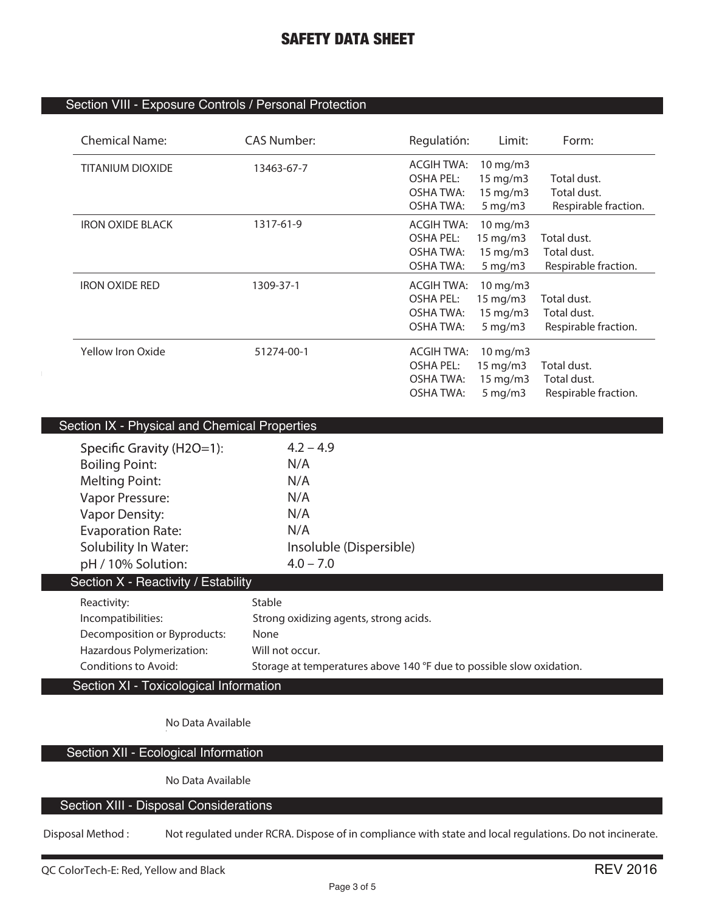### Section VIII - Exposure Controls / Personal Protection

| <b>Chemical Name:</b>   | <b>CAS Number:</b> | Regulatión:       | Limit:              | Form:                |
|-------------------------|--------------------|-------------------|---------------------|----------------------|
| <b>TITANIUM DIOXIDE</b> | 13463-67-7         | <b>ACGIH TWA:</b> | 10 mg/m3            |                      |
|                         |                    | <b>OSHA PEL:</b>  | $15$ mg/m $3$       | Total dust.          |
|                         |                    | <b>OSHA TWA:</b>  | 15 mg/m3            | Total dust.          |
|                         |                    | <b>OSHA TWA:</b>  | $5 \,\mathrm{mg/m}$ | Respirable fraction. |
| <b>IRON OXIDE BLACK</b> | 1317-61-9          | <b>ACGIH TWA:</b> | 10 mg/m3            |                      |
|                         |                    | <b>OSHA PEL:</b>  | 15 mg/m3            | Total dust.          |
|                         |                    | <b>OSHA TWA:</b>  | 15 mg/m3            | Total dust.          |
|                         |                    | <b>OSHA TWA:</b>  | $5 \,\mathrm{mg/m}$ | Respirable fraction. |
| <b>IRON OXIDE RED</b>   | 1309-37-1          | <b>ACGIH TWA:</b> | $10$ mg/m $3$       |                      |
|                         |                    | <b>OSHA PEL:</b>  | $15 \text{ mg/m}$   | Total dust.          |
|                         |                    | OSHA TWA:         | $15 \text{ mg/m}$   | Total dust.          |
|                         |                    | <b>OSHA TWA:</b>  | $5 \,\mathrm{mg/m}$ | Respirable fraction. |
| Yellow Iron Oxide       | 51274-00-1         | <b>ACGIH TWA:</b> | 10 mg/m3            |                      |
|                         |                    | <b>OSHA PEL:</b>  | $15 \text{ mg/m}$   | Total dust.          |
|                         |                    | OSHA TWA:         | 15 mg/m3            | Total dust.          |
|                         |                    | OSHA TWA:         | $5 \,\mathrm{mg/m}$ | Respirable fraction. |

| Section IX - Physical and Chemical Properties |                                                                      |  |  |  |
|-----------------------------------------------|----------------------------------------------------------------------|--|--|--|
| Specific Gravity ( $H2O=1$ ):                 | $4.2 - 4.9$                                                          |  |  |  |
| <b>Boiling Point:</b>                         | N/A                                                                  |  |  |  |
| <b>Melting Point:</b>                         | N/A                                                                  |  |  |  |
| Vapor Pressure:                               | N/A                                                                  |  |  |  |
| <b>Vapor Density:</b>                         | N/A                                                                  |  |  |  |
| <b>Evaporation Rate:</b>                      | N/A                                                                  |  |  |  |
| Solubility In Water:                          | Insoluble (Dispersible)                                              |  |  |  |
| pH / 10% Solution:                            | $4.0 - 7.0$                                                          |  |  |  |
| Section X - Reactivity / Estability           |                                                                      |  |  |  |
| Reactivity:                                   | Stable                                                               |  |  |  |
| Incompatibilities:                            | Strong oxidizing agents, strong acids.                               |  |  |  |
| Decomposition or Byproducts:                  | None                                                                 |  |  |  |
| Hazardous Polymerization:                     | Will not occur.                                                      |  |  |  |
| Conditions to Avoid:                          | Storage at temperatures above 140 °F due to possible slow oxidation. |  |  |  |
| Section XI - Toxicological Information        |                                                                      |  |  |  |

**No Data Available**

Section XII - Ecological Information

**No Data Available**

### Section XIII - Disposal Considerations

**Disposal Method : Not regulated under RCRA. Dispose of in compliance with state and local regulations. Do not incinerate.**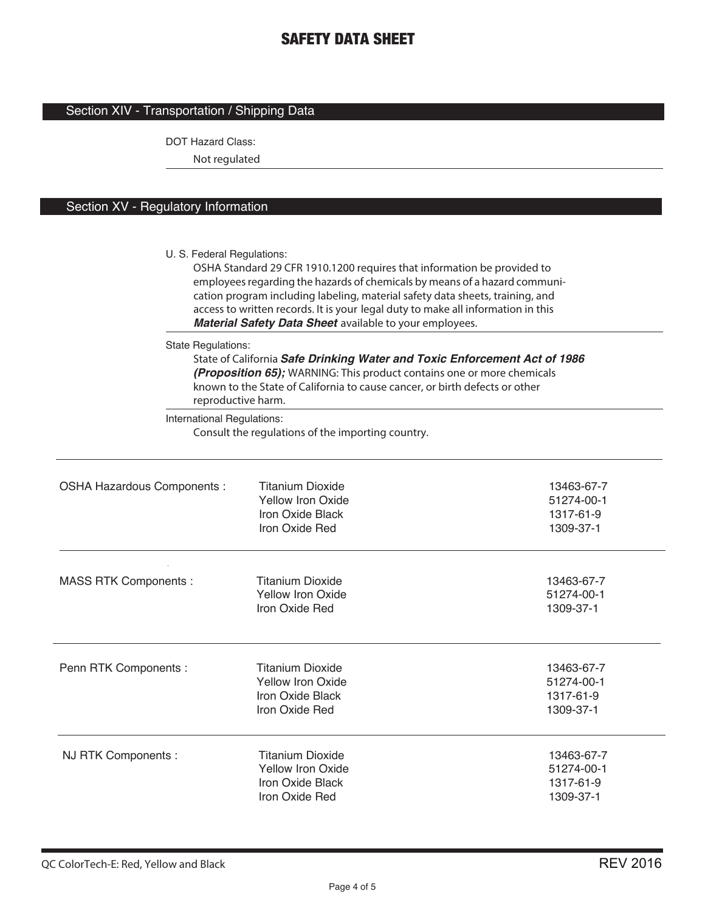# Section XIV - Transportation / Shipping Data

DOT Hazard Class:

**Not regulated**

### Section XV - Regulatory Information

|                             | U. S. Federal Regulations:<br>OSHA Standard 29 CFR 1910.1200 requires that information be provided to<br>employees regarding the hazards of chemicals by means of a hazard communi-<br>cation program including labeling, material safety data sheets, training, and<br>access to written records. It is your legal duty to make all information in this<br>Material Safety Data Sheet available to your employees. |                                                    |  |  |
|-----------------------------|---------------------------------------------------------------------------------------------------------------------------------------------------------------------------------------------------------------------------------------------------------------------------------------------------------------------------------------------------------------------------------------------------------------------|----------------------------------------------------|--|--|
|                             | <b>State Regulations:</b><br>State of California Safe Drinking Water and Toxic Enforcement Act of 1986<br>(Proposition 65); WARNING: This product contains one or more chemicals<br>known to the State of California to cause cancer, or birth defects or other<br>reproductive harm.                                                                                                                               |                                                    |  |  |
|                             | International Regulations:<br>Consult the regulations of the importing country.                                                                                                                                                                                                                                                                                                                                     |                                                    |  |  |
| OSHA Hazardous Components : | <b>Titanium Dioxide</b><br><b>Yellow Iron Oxide</b><br>Iron Oxide Black<br>Iron Oxide Red                                                                                                                                                                                                                                                                                                                           | 13463-67-7<br>51274-00-1<br>1317-61-9<br>1309-37-1 |  |  |
| <b>MASS RTK Components:</b> | <b>Titanium Dioxide</b><br><b>Yellow Iron Oxide</b><br>Iron Oxide Red                                                                                                                                                                                                                                                                                                                                               | 13463-67-7<br>51274-00-1<br>1309-37-1              |  |  |
| Penn RTK Components :       | <b>Titanium Dioxide</b><br><b>Yellow Iron Oxide</b><br>Iron Oxide Black<br>Iron Oxide Red                                                                                                                                                                                                                                                                                                                           | 13463-67-7<br>51274-00-1<br>1317-61-9<br>1309-37-1 |  |  |
| NJ RTK Components :         | <b>Titanium Dioxide</b><br><b>Yellow Iron Oxide</b><br>Iron Oxide Black<br>Iron Oxide Red                                                                                                                                                                                                                                                                                                                           | 13463-67-7<br>51274-00-1<br>1317-61-9<br>1309-37-1 |  |  |